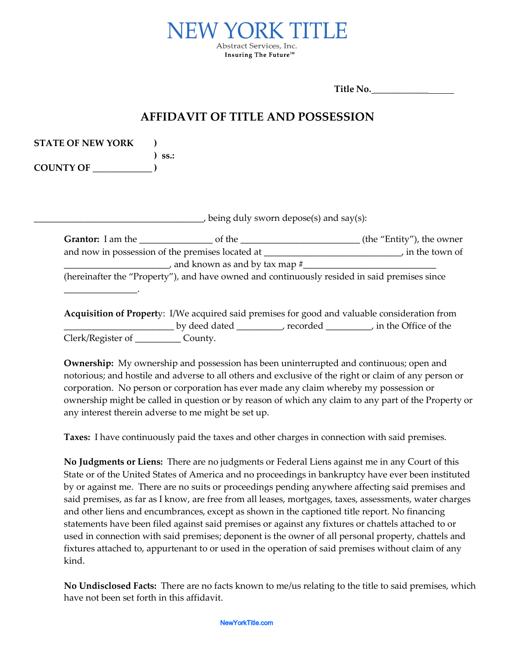

**Title No.** \_\_\_\_\_\_\_\_\_\_\_\_

## **AFFIDAVIT OF TITLE AND POSSESSION**

| <b>STATE OF NEW YORK</b> |             |
|--------------------------|-------------|
|                          | $\sum$ SS.: |
| <b>COUNTY OF</b>         |             |

\_\_\_\_\_\_\_\_\_\_\_\_\_\_\_\_.

 $_J$  being duly sworn depose(s) and say(s):

| <b>Grantor:</b> I am the                         | of the                                                                                       | (the "Entity"), the owner |
|--------------------------------------------------|----------------------------------------------------------------------------------------------|---------------------------|
| and now in possession of the premises located at |                                                                                              | , in the town of          |
|                                                  | and known as and by tax map $#$                                                              |                           |
|                                                  | (hereinafter the "Property"), and have owned and continuously resided in said premises since |                           |

**Acquisition of Propert**y: I/We acquired said premises for good and valuable consideration from \_\_\_\_\_\_\_\_\_\_\_\_\_\_\_\_\_\_\_\_\_\_\_\_ by deed dated \_\_\_\_\_\_\_\_\_\_, recorded \_\_\_\_\_\_\_\_\_\_, in the Office of the Clerk/Register of \_\_\_\_\_\_\_\_\_\_ County.

**Ownership:** My ownership and possession has been uninterrupted and continuous; open and notorious; and hostile and adverse to all others and exclusive of the right or claim of any person or corporation. No person or corporation has ever made any claim whereby my possession or ownership might be called in question or by reason of which any claim to any part of the Property or any interest therein adverse to me might be set up.

**Taxes:** I have continuously paid the taxes and other charges in connection with said premises.

**No Judgments or Liens:** There are no judgments or Federal Liens against me in any Court of this State or of the United States of America and no proceedings in bankruptcy have ever been instituted by or against me. There are no suits or proceedings pending anywhere affecting said premises and said premises, as far as I know, are free from all leases, mortgages, taxes, assessments, water charges and other liens and encumbrances, except as shown in the captioned title report. No financing statements have been filed against said premises or against any fixtures or chattels attached to or used in connection with said premises; deponent is the owner of all personal property, chattels and fixtures attached to, appurtenant to or used in the operation of said premises without claim of any kind.

**No Undisclosed Facts:** There are no facts known to me/us relating to the title to said premises, which have not been set forth in this affidavit.